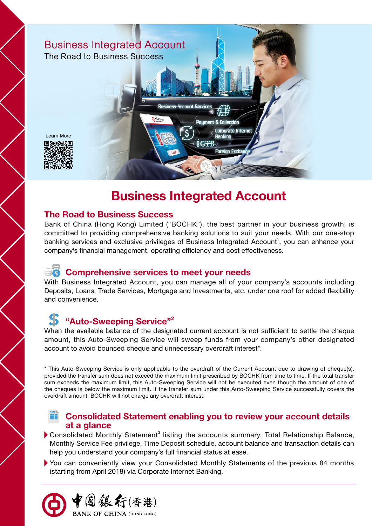

# **Business Integrated Account**

# **The Road to Business Success**

Bank of China (Hong Kong) Limited ("BOCHK"), the best partner in your business growth, is committed to providing comprehensive banking solutions to suit your needs. With our one-stop banking services and exclusive privileges of Business Integrated Account<sup>1</sup>, you can enhance your company's financial management, operating efficiency and cost effectiveness.

# **Comprehensive services to meet your needs**

With Business Integrated Account, you can manage all of your company's accounts including Deposits, Loans, Trade Services, Mortgage and Investments, etc. under one roof for added flexibility and convenience.

# **"Auto-Sweeping Service"2**

到銀行(香港)

**BANK OF CHINA** (HONG KONG)

When the available balance of the designated current account is not sufficient to settle the cheque amount, this Auto-Sweeping Service will sweep funds from your company's other designated account to avoid bounced cheque and unnecessary overdraft interest\*.

\* This Auto-Sweeping Service is only applicable to the overdraft of the Current Account due to drawing of cheque(s), provided the transfer sum does not exceed the maximum limit prescribed by BOCHK from time to time. If the total transfer sum exceeds the maximum limit, this Auto-Sweeping Service will not be executed even though the amount of one of the cheques is below the maximum limit. If the transfer sum under this Auto-Sweeping Service successfully covers the overdraft amount, BOCHK will not charge any overdraft interest.

## **Consolidated Statement enabling you to review your account details at a glance**

- Consolidated Monthly Statement<sup>3</sup> listing the accounts summary, Total Relationship Balance, Monthly Service Fee privilege, Time Deposit schedule, account balance and transaction details can help you understand your company's full financial status at ease.
- You can conveniently view your Consolidated Monthly Statements of the previous 84 months (starting from April 2018) via Corporate Internet Banking.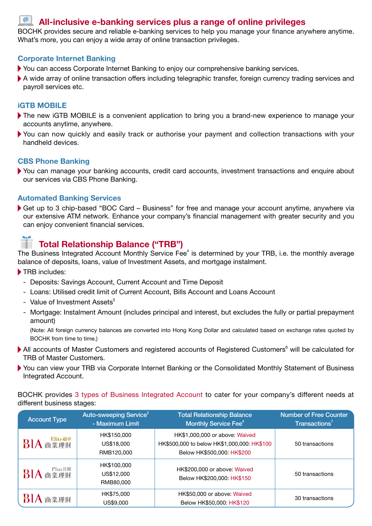# **All-inclusive e-banking services plus a range of online privileges**

BOCHK provides secure and reliable e-banking services to help you manage your finance anywhere anytime. What's more, you can enjoy a wide array of online transaction privileges.

### **Corporate Internet Banking**

- You can access Corporate Internet Banking to enjoy our comprehensive banking services.
- A wide array of online transaction offers including telegraphic transfer, foreign currency trading services and payroll services etc.

## **iGTB MOBILE**

 $\boldsymbol{\varnothing}$ 

- The new iGTB MOBILE is a convenient application to bring you a brand-new experience to manage your accounts anytime, anywhere.
- You can now quickly and easily track or authorise your payment and collection transactions with your handheld devices.

## **CBS Phone Banking**

You can manage your banking accounts, credit card accounts, investment transactions and enquire about our services via CBS Phone Banking.

### **Automated Banking Services**

Get up to 3 chip-based "BOC Card – Business" for free and manage your account anytime, anywhere via our extensive ATM network. Enhance your company's financial management with greater security and you can enjoy convenient financial services.

# **Total Relationship Balance ("TRB")**

The Business Integrated Account Monthly Service Fee<sup>4</sup> is determined by your TRB, i.e. the monthly average balance of deposits, loans, value of Investment Assets, and mortgage instalment.

- TRB includes:
	- Deposits: Savings Account, Current Account and Time Deposit
	- Loans: Utilised credit limit of Current Account, Bills Account and Loans Account
	- Value of Investment Assets<sup>5</sup>
	- Mortgage: Instalment Amount (includes principal and interest, but excludes the fully or partial prepayment amount)

 (Note: All foreign currency balances are converted into Hong Kong Dollar and calculated based on exchange rates quoted by BOCHK from time to time.)

- All accounts of Master Customers and registered accounts of Registered Customers<sup>6</sup> will be calculated for TRB of Master Customers.
- You can view your TRB via Corporate Internet Banking or the Consolidated Monthly Statement of Business Integrated Account.

BOCHK provides 3 types of Business Integrated Account to cater for your company's different needs at different business stages:

| <b>Account Type</b> | Auto-sweeping Service <sup>2</sup><br>- Maximum Limit | <b>Total Relationship Balance</b><br>Monthly Service Fee <sup>4</sup>                                       | <b>Number of Free Counter</b><br>$\mathsf{T}$ ransactions <sup>7</sup> |
|---------------------|-------------------------------------------------------|-------------------------------------------------------------------------------------------------------------|------------------------------------------------------------------------|
| Elite超卓<br>BIA 商業理財 | HK\$150,000<br>US\$18,000<br>RMB120,000               | HK\$1,000,000 or above: Waived<br>HK\$500,000 to below HK\$1,000,000: HK\$100<br>Below HK\$500,000: HK\$200 | 50 transactions                                                        |
| BIA 商業理財            | HK\$100,000<br>US\$12,000<br>RMB80,000                | HK\$200,000 or above: Waived<br>Below HK\$200,000: HK\$150                                                  | 50 transactions                                                        |
| BIA 商業理財            | HK\$75,000<br>US\$9,000                               | HK\$50,000 or above: Waived<br>Below HK\$50,000: HK\$120                                                    | 30 transactions                                                        |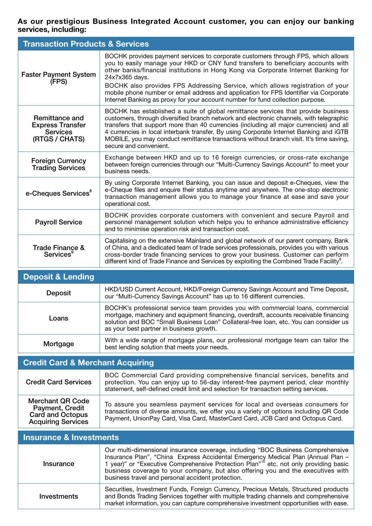### **As our prestigious Business Integrated Account customer, you can enjoy our banking services, including:**

| <b>Transaction Products &amp; Services</b>                                     |                                                                                                                                                                                                                                                                                                                                                                                                                                                                                                                                          |  |
|--------------------------------------------------------------------------------|------------------------------------------------------------------------------------------------------------------------------------------------------------------------------------------------------------------------------------------------------------------------------------------------------------------------------------------------------------------------------------------------------------------------------------------------------------------------------------------------------------------------------------------|--|
| <b>Faster Payment System</b><br>(FPS)                                          | BOCHK provides payment services to corporate customers through FPS, which allows<br>you to easily manage your HKD or CNY fund transfers to beneficiary accounts with<br>other banks/financial institutions in Hong Kong via Corporate Internet Banking for<br>24x7x365 days.<br>BOCHK also provides FPS Addressing Service, which allows registration of your<br>mobile phone number or email address and application for FPS Identifier via Corporate<br>Internet Banking as proxy for your account number for fund collection purpose. |  |
| Remittance and<br><b>Express Transfer</b><br><b>Services</b><br>(RTGS / CHATS) | BOCHK has established a suite of global remittance services that provide business<br>customers, through diversified branch network and electronic channels, with telegraphic<br>transfers that support more than 40 currencies (including all major currencies) and all<br>4 currencies in local interbank transfer. By using Corporate Internet Banking and iGTB<br>MOBILE, you may conduct remittance transactions without branch visit. It's time saving,<br>secure and convenient.                                                   |  |
| <b>Foreign Currency</b><br><b>Trading Services</b>                             | Exchange between HKD and up to 16 foreign currencies, or cross-rate exchange<br>between foreign currencies through our "Multi-Currency Savings Account" to meet your<br>business needs.                                                                                                                                                                                                                                                                                                                                                  |  |
| e-Cheques Services <sup>8</sup>                                                | By using Corporate Internet Banking, you can issue and deposit e-Cheques, view the<br>e-Cheque files and enquire their status anytime and anywhere. The one-stop electronic<br>transaction management allows you to manage your finance at ease and save your<br>operational cost.                                                                                                                                                                                                                                                       |  |
| <b>Payroll Service</b>                                                         | BOCHK provides corporate customers with convenient and secure Payroll and<br>personnel management solution which helps you to enhance administrative efficiency<br>and to minimise operation risk and transaction cost.                                                                                                                                                                                                                                                                                                                  |  |
| <b>Trade Finance &amp;</b><br>Services <sup>9</sup>                            | Capitalising on the extensive Mainland and global network of our parent company, Bank<br>of China, and a dedicated team of trade services professionals, provides you with various<br>cross-border trade financing services to grow your business. Customer can perform<br>different kind of Trade Finance and Services by exploiting the Combined Trade Facility <sup>9</sup> .                                                                                                                                                         |  |
| <b>Deposit &amp; Lending</b>                                                   |                                                                                                                                                                                                                                                                                                                                                                                                                                                                                                                                          |  |

| <b>PUPUL &amp; ECHAINS</b> |                                                                                                                                                                                                                                                                                                                |
|----------------------------|----------------------------------------------------------------------------------------------------------------------------------------------------------------------------------------------------------------------------------------------------------------------------------------------------------------|
| <b>Deposit</b>             | HKD/USD Current Account, HKD/Foreign Currency Savings Account and Time Deposit,<br>our "Multi-Currency Savings Account" has up to 16 different currencies.                                                                                                                                                     |
| Loans                      | BOCHK's professional service team provides you with commercial loans, commercial<br>mortgage, machinery and equipment financing, overdraft, accounts receivable financing<br>solution and BOC "Small Business Loan" Collateral-free loan, etc. You can consider us<br>as your best partner in business growth. |
| Mortgage                   | With a wide range of mortgage plans, our professional mortgage team can tailor the<br>best lending solution that meets your needs.                                                                                                                                                                             |

# **Credit Card & Merchant Acquiring**

| <b>Credit Card Services</b>                                                                               | BOC Commercial Card providing comprehensive financial services, benefits and<br>protection. You can enjoy up to 56-day interest-free payment period, clear monthly<br>statement, self-defined credit limit and selection for transaction setting services. |
|-----------------------------------------------------------------------------------------------------------|------------------------------------------------------------------------------------------------------------------------------------------------------------------------------------------------------------------------------------------------------------|
| <b>Merchant QR Code</b><br><b>Payment, Credit</b><br><b>Card and Octopus</b><br><b>Acquiring Services</b> | To assure you seamless payment services for local and overseas consumers for<br>transactions of diverse amounts, we offer you a variety of options including QR Code<br>Payment, UnionPay Card, Visa Card, MasterCard Card, JCB Card and Octopus Card.     |

| Insurance & Investments |                                                                                                                                                                                                                                                                                                                                                                                                                   |  |
|-------------------------|-------------------------------------------------------------------------------------------------------------------------------------------------------------------------------------------------------------------------------------------------------------------------------------------------------------------------------------------------------------------------------------------------------------------|--|
| Insurance               | Our multi-dimensional insurance coverage, including "BOC Business Comprehensive<br>Insurance Plan", "China Express Accidental Emergency Medical Plan (Annual Plan -<br>1 year)" or "Executive Comprehensive Protection Plan" <sup>10</sup> etc. not only providing basic<br>business coverage to your company, but also offering you and the executives with<br>business travel and personal accident protection. |  |
| Investments             | Securities, Investment Funds, Foreign Currency, Precious Metals, Structured products<br>and Bonds Trading Services together with multiple trading channels and comprehensive<br>market information, you can capture comprehensive investment opportunities with ease.                                                                                                                                             |  |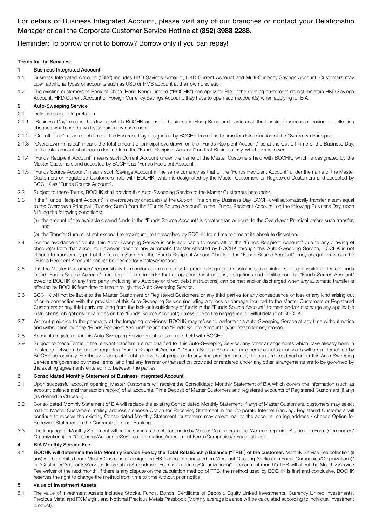### For details of Business Integrated Account, please visit any of our branches or contact your Relationship Manager or call the Corporate Customer Service Hotline at **(852) 3988 2288.**

### Reminder: To borrow or not to borrow? Borrow only if you can repay!

#### Terms for the Services:

#### 1 Business Integrated Account

- 1.1 Business Integrated Account ("BIA") includes HKD Savings Account, HKD Current Account and Multi-Currency Savings Account. Customers may open additional types of accounts such as USD or RMB account at their own discretion.
- 1.2 The existing customers of Bank of China (Hong Kong) Limited ("BOCHK") can apply for BIA. If the existing customers do not maintain HKD Savings Account, HKD Current Account or Foreign Currency Savings Account, they have to open such account(s) when applying for BIA.

#### 2 Auto-Sweeping Service

- 2.1 Definitions and Interpretation
- 2.1.1 "Business Day" means the day on which BOCHK opens for business in Hong Kong and carries out the banking business of paying or collecting cheques which are drawn by or paid in by customers;
- 2.1.2 "Cut-off Time" means such time of the Business Day designated by BOCHK from time to time for determination of the Overdrawn Principal;
- 2.1.3 "Overdrawn Principal" means the total amount of principal overdrawn on the "Funds Recipient Account" as at the Cut-off Time of the Business Day, or the total amount of cheques debited from the "Funds Recipient Account" on that Business Day, whichever is lower;
- 2.1.4 "Funds Recipient Account" means such Current Account under the name of the Master Customers held with BOCHK, which is designated by the Master Customers and accepted by BOCHK as "Funds Recipient Account";
- 2.1.5 "Funds Source Account" means such Savings Account in the same currency as that of the "Funds Recipient Account" under the name of the Master Customers or Registered Customers held with BOCHK, which is designated by the Master Customers or Registered Customers and accepted by BOCHK as "Funds Source Account".
- 2.2 Subject to these Terms, BOCHK shall provide this Auto-Sweeping Service to the Master Customers hereunder.
- 2.3 If the "Funds Recipient Account" is overdrawn by cheque(s) at the Cut-off Time on any Business Day, BOCHK will automatically transfer a sum equal to the Overdrawn Principal ("Transfer Sum") from the "Funds Source Account" to the "Funds Recipient Account" on the following Business Day, upon fulfilling the following conditions:
	- (a) the amount of the available cleared funds in the "Funds Source Account" is greater than or equal to the Overdrawn Principal before such transfer; and
	- (b) the Transfer Sum must not exceed the maximum limit prescribed by BOCHK from time to time at its absolute discretion.
- 2.4 For the avoidance of doubt, this Auto-Sweeping Service is only applicable to overdraft of the "Funds Recipient Account" due to any drawing of cheque(s) from that account. However, despite any automatic transfer effected by BOCHK through this Auto-Sweeping Service, BOCHK is not obliged to transfer any part of the Transfer Sum from the "Funds Recipient Account" back to the "Funds Source Account" if any cheque drawn on the "Funds Recipient Account" cannot be cleared for whatever reason.
- 2.5 It is the Master Customers' responsibility to monitor and maintain or to procure Registered Customers to maintain sufficient available cleared funds in the "Funds Source Account" from time to time in order that all applicable instructions, obligations and liabilities on the "Funds Source Account" owed to BOCHK or any third party (including any Autopay or direct debit instructions) can be met and/or discharged when any automatic transfer is effected by BOCHK from time to time through this Auto-Sweeping Service.
- 2.6 BOCHK will not be liable to the Master Customers or Registered Customers or any third parties for any consequence or loss of any kind arising out of or in connection with the provision of this Auto-Sweeping Service (including any loss or damage incurred to the Master Customers or Registered Customers or any third party resulting from the lack or insufficiency of funds in the "Funds Source Account" to meet and/or discharge any applicable instructions, obligations or liabilities on the "Funds Source Account") unless due to the negligence or willful default of BOCHK.
- 2.7 Without prejudice to the generality of the foregoing provisions, BOCHK may refuse to perform this Auto-Sweeping Service at any time without notice and without liability if the "Funds Recipient Account" or/and the "Funds Source Account" is/are frozen for any reason.
- 2.8 Accounts registered for this Auto-Sweeping Service must be accounts held with BOCHK.
- 2.9 Subject to these Terms, if the relevant transfers are not qualified for this Auto-Sweeping Service, any other arrangements which have already been in existence between the parties regarding "Funds Recipient Account", "Funds Source Account", or other accounts or services will be implemented by BOCHK accordingly. For the avoidance of doubt, and without prejudice to anything provided hereof, the transfers rendered under this Auto-Sweeping Service are governed by these Terms, and that any transfer or transaction provided or rendered under any other arrangements are to be governed by the existing agreements entered into between the parties.

#### 3 Consolidated Monthly Statement of Business Integrated Account

- 3.1 Upon successful account opening, Master Customers will receive the Consolidated Monthly Statement of BIA which covers the information (such as account balance and transaction record) of all accounts, Time Deposit of Master Customers and registered accounts of Registered Customers (if any) (as defined in Clause 6).
- 3.2 Consolidated Monthly Statement of BIA will replace the existing Consolidated Monthly Statement (if any) of Master Customers, customers may select mail to Master Customers mailing address / choose Option for Receiving Statement in the Corporate Internet Banking. Registered Customers will continue to receive the existing Consolidated Monthly Statement, customers may select mail to the account mailing address / choose Option for Receiving Statement in the Corporate Internet Banking.
- 3.3 The language of Monthly Statement will be the same as the choice made by Master Customers in the "Account Opening Application Form (Companies/ Organizations)" or "Customer/Accounts/Services Information Amendment Form (Companies/ Organizations)".

#### 4 BIA Monthly Service Fee

4.1 BOCHK will determine the BIA Monthly Service Fee by the Total Relationship Balance ("TRB") of the customer. Monthly Service Fee collection (if any) will be debited from Master Customers' designated HKD account stipulated on "Account Opening Application Form (Companies/Organizations)" or "Customer/Accounts/Services Information Amendment Form (Companies/Organizations)". The current month's TRB will affect the Monthly Service Fee waiver of the next month. If there is any dispute on the calculation method of TRB, the method used by BOCHK is final and conclusive. BOCHK reserves the right to change the method from time to time without prior notice.

#### 5 Value of Investment Assets

5.1 The value of Investment Assets includes Stocks, Funds, Bonds, Certificate of Deposit, Equity Linked Investments, Currency Linked Investments, Precious Metal and FX Margin, and Notional Precious Metals Passbook (Monthly average balance will be calculated according to individual investment product).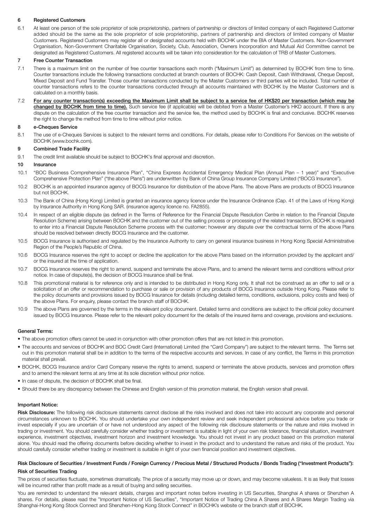#### 6 Registered Customers

6.1 At least one person of the sole proprietor of sole proprietorship, partners of partnership or directors of limited company of each Registered Customer added should be the same as the sole proprietor of sole proprietorship, partners of partnership and directors of limited company of Master Customers. Registered Customers may register all or designated accounts held with BOCHK under the BIA of Master Customers. Non-Government Organisation, Non-Government Charitable Organisation, Society, Club, Association, Owners Incorporation and Mutual Aid Committee cannot be designated as Registered Customers. All registered accounts will be taken into consideration for the calculation of TRB of Master Customers.

#### 7 Free Counter Transaction

- 7.1 There is a maximum limit on the number of free counter transactions each month ("Maximum Limit") as determined by BOCHK from time to time. Counter transactions include the following transactions conducted at branch counters of BOCHK: Cash Deposit, Cash Withdrawal, Cheque Deposit, Mixed Deposit and Fund Transfer. Those counter transactions conducted by the Master Customers or third parties will be included. Total number of counter transactions refers to the counter transactions conducted through all accounts maintained with BOCHK by the Master Customers and is calculated on a monthly basis.
- 7.2 For any counter transaction(s) exceeding the Maximum Limit shall be subject to a service fee of HK\$20 per transaction (which may be changed by BOCHK from time to time). Such service fee (if applicable) will be debited from a Master Customer's HKD account. If there is any dispute on the calculation of the free counter transaction and the service fee, the method used by BOCHK is final and conclusive. BOCHK reserves the right to change the method from time to time without prior notice.

#### 8 e-Cheques Service

8.1 The use of e-Cheques Services is subject to the relevant terms and conditions. For details, please refer to Conditions For Services on the website of BOCHK (www.bochk.com).

#### 9 Combined Trade Facility

9.1 The credit limit available should be subject to BOCHK's final approval and discretion.

#### 10 Insurance

- 10.1 "BOC Business Comprehensive Insurance Plan", "China Express Accidental Emergency Medical Plan (Annual Plan 1 year)" and "Executive Comprehensive Protection Plan" ("the above Plans") are underwritten by Bank of China Group Insurance Company Limited ("BOCG Insurance").
- 10.2 BOCHK is an appointed insurance agency of BOCG Insurance for distribution of the above Plans. The above Plans are products of BOCG Insurance but not BOCHK.
- 10.3 The Bank of China (Hong Kong) Limited is granted an insurance agency licence under the Insurance Ordinance (Cap. 41 of the Laws of Hong Kong) by Insurance Authority in Hong Kong SAR. (insurance agency licence no. FA2855).
- 10.4 In respect of an eligible dispute (as defined in the Terms of Reference for the Financial Dispute Resolution Centre in relation to the Financial Dispute Resolution Scheme) arising between BOCHK and the customer out of the selling process or processing of the related transaction, BOCHK is required to enter into a Financial Dispute Resolution Scheme process with the customer; however any dispute over the contractual terms of the above Plans should be resolved between directly BOCG Insurance and the customer.
- 10.5 BOCG Insurance is authorised and regulated by the Insurance Authority to carry on general insurance business in Hong Kong Special Administrative Region of the People's Republic of China.
- 10.6 BOCG Insurance reserves the right to accept or decline the application for the above Plans based on the information provided by the applicant and/ or the insured at the time of application.
- 10.7 BOCG Insurance reserves the right to amend, suspend and terminate the above Plans, and to amend the relevant terms and conditions without prior notice. In case of dispute(s), the decision of BOCG Insurance shall be final.
- 10.8 This promotional material is for reference only and is intended to be distributed in Hong Kong only. It shall not be construed as an offer to sell or a solicitation of an offer or recommendation to purchase or sale or provision of any products of BOCG Insurance outside Hong Kong. Please refer to the policy documents and provisions issued by BOCG Insurance for details (including detailed terms, conditions, exclusions, policy costs and fees) of the above Plans. For enquiry, please contact the branch staff of BOCHK.
- 10.9 The above Plans are governed by the terms in the relevant policy document. Detailed terms and conditions are subject to the official policy document issued by BOCG Insurance. Please refer to the relevant policy document for the details of the insured items and coverage, provisions and exclusions.

#### General Terms:

- The above promotion offers cannot be used in conjunction with other promotion offers that are not listed in this promotion.
- The accounts and services of BOCHK and BOC Credit Card (International) Limited (the "Card Company") are subject to the relevant terms. The Terms set out in this promotion material shall be in addition to the terms of the respective accounts and services. In case of any conflict, the Terms in this promotion material shall prevail.
- BOCHK, BOCG Insurance and/or Card Company reserve the rights to amend, suspend or terminate the above products, services and promotion offers and to amend the relevant terms at any time at its sole discretion without prior notice.
- In case of dispute, the decision of BOCHK shall be final.
- Should there be any discrepancy between the Chinese and English version of this promotion material, the English version shall prevail.

#### Important Notice:

Risk Disclosure: The following risk disclosure statements cannot disclose all the risks involved and does not take into account any corporate and personal circumstances unknown to BOCHK. You should undertake your own independent review and seek independent professional advice before you trade or invest especially if you are uncertain of or have not understood any aspect of the following risk disclosure statements or the nature and risks involved in trading or investment. You should carefully consider whether trading or investment is suitable in light of your own risk tolerance, financial situation, investment experience, investment objectives, investment horizon and investment knowledge. You should not invest in any product based on this promotion material alone. You should read the offering documents before deciding whether to invest in the product and to understand the nature and risks of the product. You should carefully consider whether trading or investment is suitable in light of your own financial position and investment objectives.

#### Risk Disclosure of Securities / Investment Funds / Foreign Currency / Precious Metal / Structured Products / Bonds Trading ("Investment Products"): Risk of Securities Trading

The prices of securities fluctuate, sometimes dramatically. The price of a security may move up or down, and may become valueless. It is as likely that losses will be incurred rather than profit made as a result of buying and selling securities.

You are reminded to understand the relevant details, charges and important notes before investing in US Securities, Shanghai A shares or Shenzhen A shares. For details, please read the "Important Notice of US Securities", "Important Notice of Trading China A Shares and A Shares Margin Trading via Shanghai-Hong Kong Stock Connect and Shenzhen-Hong Kong Stock Connect" in BOCHK's website or the branch staff of BOCHK.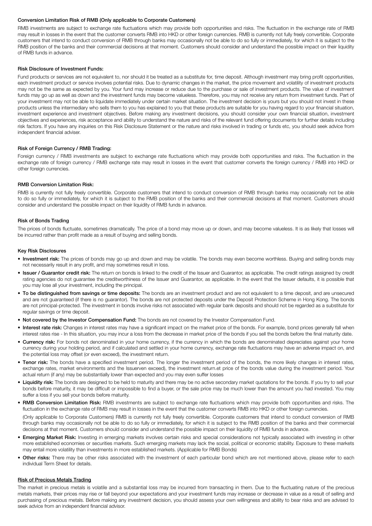#### Conversion Limitation Risk of RMB (Only applicable to Corporate Customers)

RMB investments are subject to exchange rate fluctuations which may provide both opportunities and risks. The fluctuation in the exchange rate of RMB may result in losses in the event that the customer converts RMB into HKD or other foreign currencies. RMB is currently not fully freely convertible. Corporate customers that intend to conduct conversion of RMB through banks may occasionally not be able to do so fully or immediately, for which it is subject to the RMB position of the banks and their commercial decisions at that moment. Customers should consider and understand the possible impact on their liquidity of RMB funds in advance.

#### Risk Disclosure of Investment Funds:

Fund products or services are not equivalent to, nor should it be treated as a substitute for, time deposit. Although investment may bring profit opportunities, each investment product or service involves potential risks. Due to dynamic changes in the market, the price movement and volatility of investment products may not be the same as expected by you. Your fund may increase or reduce due to the purchase or sale of investment products. The value of investment funds may go up as well as down and the investment funds may become valueless. Therefore, you may not receive any return from investment funds. Part of your investment may not be able to liquidate immediately under certain market situation. The investment decision is yours but you should not invest in these products unless the intermediary who sells them to you has explained to you that these products are suitable for you having regard to your financial situation, investment experience and investment objectives. Before making any investment decisions, you should consider your own financial situation, investment objectives and experiences, risk acceptance and ability to understand the nature and risks of the relevant fund offering documents for further details including risk factors. If you have any inquiries on this Risk Disclosure Statement or the nature and risks involved in trading or funds etc, you should seek advice from independent financial adviser.

#### Risk of Foreign Currency / RMB Trading:

Foreign currency / RMB investments are subject to exchange rate fluctuations which may provide both opportunities and risks. The fluctuation in the exchange rate of foreign currency / RMB exchange rate may result in losses in the event that customer converts the foreign currency / RMB into HKD or other foreign currencies.

#### RMB Conversion Limitation Risk:

RMB is currently not fully freely convertible. Corporate customers that intend to conduct conversion of RMB through banks may occasionally not be able to do so fully or immediately, for which it is subject to the RMB position of the banks and their commercial decisions at that moment. Customers should consider and understand the possible impact on their liquidity of RMB funds in advance.

#### Risk of Bonds Trading

The prices of bonds fluctuate, sometimes dramatically. The price of a bond may move up or down, and may become valueless. It is as likely that losses will be incurred rather than profit made as a result of buying and selling bonds.

#### Key Risk Disclosures

- Investment risk: The prices of bonds may go up and down and may be volatile. The bonds may even become worthless. Buying and selling bonds may not necessarily result in any profit, and may sometimes result in loss.
- Issuer / Guarantor credit risk: The return on bonds is linked to the credit of the Issuer and Guarantor, as applicable. The credit ratings assigned by credit rating agencies do not guarantee the creditworthiness of the Issuer and Guarantor, as applicable. In the event that the Issuer defaults, it is possible that you may lose all your investment, including the principal.
- To be distinguished from savings or time deposits: The bonds are an investment product and are not equivalent to a time deposit, and are unsecured and are not guaranteed (if there is no guarantor). The bonds are not protected deposits under the Deposit Protection Scheme in Hong Kong. The bonds are not principal-protected. The investment in bonds involve risks not associated with regular bank deposits and should not be regarded as a substitute for regular savings or time deposit.
- Not covered by the Investor Compensation Fund: The bonds are not covered by the Investor Compensation Fund.
- Interest rate risk: Changes in interest rates may have a significant impact on the market price of the bonds. For example, bond prices generally fall when interest rates rise - In this situation, you may incur a loss from the decrease in market price of the bonds if you sell the bonds before the final maturity date.
- Currency risk: For bonds not denominated in your home currency, if the currency in which the bonds are denominated depreciates against your home currency during your holding period, and if calculated and settled in your home currency, exchange rate fluctuations may have an adverse impact on, and the potential loss may offset (or even exceed), the investment return.
- Tenor risk: The bonds have a specified investment period. The longer the investment period of the bonds, the more likely changes in interest rates, exchange rates, market environments and the Issuerven exceed), the investment return.et price of the bonds value during the investment period. Your actual return (if any) may be substantially lower than expected and you may even suffer losses
- Liquidity risk: The bonds are designed to be held to maturity and there may be no active secondary market quotations for the bonds. If you try to sell your bonds before maturity, it may be difficult or impossible to find a buyer, or the sale price may be much lower than the amount you had invested. You may suffer a loss if you sell your bonds before maturity.
- RMB Conversion Limitation Risk: RMB investments are subject to exchange rate fluctuations which may provide both opportunities and risks. The fluctuation in the exchange rate of RMB may result in losses in the event that the customer converts RMB into HKD or other foreign currencies.

(Only applicable to Corporate Customers) RMB is currently not fully freely convertible. Corporate customers that intend to conduct conversion of RMB through banks may occasionally not be able to do so fully or immediately, for which it is subject to the RMB position of the banks and their commercial decisions at that moment. Customers should consider and understand the possible impact on their liquidity of RMB funds in advance.

- Emerging Market Risk: Investing in emerging markets involves certain risks and special considerations not typically associated with investing in other more established economies or securities markets. Such emerging markets may lack the social, political or economic stability. Exposure to these markets may entail more volatility than investments in more established markets. (Applicable for RMB Bonds)
- Other risks: There may be other risks associated with the investment of each particular bond which are not mentioned above, please refer to each individual Term Sheet for details.

#### **Risk of Precious Metals Trading**

The market in precious metals is volatile and a substantial loss may be incurred from transacting in them. Due to the fluctuating nature of the precious metals markets, their prices may rise or fall beyond your expectations and your investment funds may increase or decrease in value as a result of selling and purchasing of precious metals. Before making any investment decision, you should assess your own willingness and ability to bear risks and are advised to seek advice from an independent financial advisor.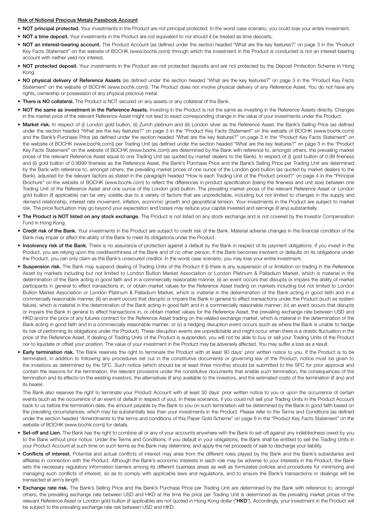#### Risk of Notional Precious Metals Passbook Account

- NOT principal protected. Your investments in the Product are not principal protected. In the worst case scenario, you could lose your entire investment.
- NOT a time deposit. Your investments in the Product are not equivalent to nor should it be treated as time deposits.
- NOT an interest-bearing account. The Product Account (as defined under the section headed "What are the key features?" on page 3 in the "Product Key Facts Statement" on the website of BOCHK (www.bochk.com)) through which the investment in the Product is conducted is not an interest-bearing account with neither yield nor interest.
- NOT protected deposit. Your investments in the Product are not protected deposits and are not protected by the Deposit Protection Scheme in Hong Kong.
- NO physical delivery of Reference Assets (as defined under the section headed "What are the key features?" on page 3 in the "Product Key Facts Statement" on the website of BOCHK (www.bochk.com)). The Product does not involve physical delivery of any Reference Asset. You do not have any rights, ownership or possession of any physical precious metal.
- There is NO collateral. The Product is NOT secured on any assets or any collateral of the Bank.
- NOT the same as investment in the Reference Assets. Investing in the Product is not the same as investing in the Reference Assets directly. Changes in the market price of the relevant Reference Asset might not lead to exact corresponding change in the value of your investments under the Product.
- Market risk. In respect of (i) London gold bullion, (ii) Zurich platinum and (iii) London silver as the Reference Asset, the Bank's Selling Price (as defined under the section headed "What are the key features?" on page 3 in the "Product Key Facts Statement" on the website of BOCHK (www.bochk.com)) and the Bank's Purchase Price (as defined under the section headed "What are the key features?" on page 3 in the "Product Key Facts Statement" on the website of BOCHK (www.bochk.com)) per Trading Unit (as defined under the section headed "What are the key features?" on page 3 in the "Product Key Facts Statement" on the website of BOCHK (www.bochk.com)) are determined by the Bank with reference to, amongst others, the prevailing market prices of the relevant Reference Asset equal to one Trading Unit (as quoted by market dealers to the Bank). In respect of (i) gold bullion of 0.99 fineness and (ii) gold bullion of 0.9999 fineness as the Reference Asset, the Bank's Purchase Price and the Bank's Selling Price per Trading Unit are determined by the Bank with reference to, amongst others, the prevailing market prices of one ounce of the London gold bullion (as quoted by market dealers to the Bank), adjusted for the relevant factors as stated in the paragraph headed "How is each Trading Unit of the Product priced?" on page 4 in the "Principal Brochure" on the website of BOCHK (www.bochk.com) to reflect the differences in product specification (being the fineness and unit size) between one Trading Unit of the Reference Asset and one ounce of the London gold bullion. The prevailing market prices of the relevant Reference Asset or London gold bullion (if applicable) can be very volatile due to a variety of factors that are unpredictable, including but not limited to changes in the supply and demand relationship, interest rate movement, inflation, economic growth and geopolitical tension. Your investments in the Product are subject to market risk. The price fluctuation may go beyond your expectation and losses may reduce your capital invested and earnings (if any) substantially.
- The Product is NOT listed on any stock exchange. The Product is not listed on any stock exchange and is not covered by the Investor Compensation Fund in Hong Kong.
- Credit risk of the Bank. Your investments in the Product are subject to credit risk of the Bank. Material adverse changes in the financial condition of the Bank may impair or affect the ability of the Bank to meet its obligations under the Product.
- Insolvency risk of the Bank. There is no assurance of protection against a default by the Bank in respect of its payment obligations. If you invest in the Product, you are relying upon the creditworthiness of the Bank and of no other person. If the Bank becomes insolvent or defaults on its obligations under the Product, you can only claim as the Bank's unsecured creditor. In the worst case scenario, you may lose your entire investment.
- Suspension risk. The Bank may suspend dealing of Trading Units of the Product if (i) there is any suspension of or limitation on trading in the Reference Asset by markets including but not limited to London Bullion Market Association or London Platinum & Palladium Market, which is material in the determination of the Bank acting in good faith and in a commercially reasonable manner, (ii) an event occurs that disrupts or impairs the ability of market participants in general to effect transactions in, or obtain market values for the Reference Asset trading on markets including but not limited to London Bullion Market Association or London Platinum & Palladium Market, which is material in the determination of the Bank acting in good faith and in a commercially reasonable manner, (iii) an event occurs that disrupts or impairs the Bank in general to effect transactions under the Product (such as system failure), which is material in the determination of the Bank acting in good faith and in a commercially reasonable manner; (iv) an event occurs that disrupts or impairs the Bank in general to effect transactions in, or obtain market values for the Reference Asset, the prevailing exchange rate between USD and HKD and/or the price of any futures contract for the Reference Asset trading on the related exchange market, which is material in the determination of the Bank acting in good faith and in a commercially reasonable manner; or (v) a hedging disruption event occurs (such as where the Bank is unable to hedge its risk of performing its obligations under the Product). These disruption events are unpredictable and might occur when there is a drastic fluctuation in the price of the Reference Asset. If dealing of Trading Units of the Product is suspended, you will not be able to buy or sell your Trading Units of the Product nor to liquidate or offset your position. The value of your investment in the Product may be adversely affected. You may suffer a loss as a result.
- Early termination risk. The Bank reserves the right to terminate the Product with at least 90 days' prior written notice to you. If the Product is to be terminated, in addition to following any procedures set out in the constitutive documents or governing law of the Product, notice must be given to the investors as determined by the SFC. Such notice (which should be at least three months) should be submitted to the SFC for prior approval and contain the reasons for the termination, the relevant provisions under the constitutive documents that enable such termination, the consequences of the termination and its effects on the existing investors, the alternatives (if any) available to the investors, and the estimated costs of the termination (if any) and its bearer.

The Bank also reserves the right to terminate your Product Account with at least 30 days' prior written notice to you or upon the occurrence of certain events (such as the occurrence of an event of default in respect of you). In these scenarios, if you could not sell your Trading Units in the Product Account back to us before the termination date, the amount payable by the Bank to you on such termination will be determined by the Bank in good faith based on the prevailing circumstances, which may be substantially less than your investments in the Product. Please refer to the Terms and Conditions (as defined under the section headed "Amendments to the terms and conditions of this Paper Gold Scheme" on page 6 in the "Product Key Facts Statement" on the website of BOCHK (www.bochk.com)) for details.

- Set-off and Lien. The Bank has the right to combine all or any of your accounts anywhere with the Bank to set-off against any indebtedness owed by you to the Bank without prior notice. Under the Terms and Conditions, if you default in your obligations, the Bank shall be entitled to sell the Trading Units in your Product Account at such time on such terms as the Bank may determine, and apply the net proceeds of sale to discharge your liability.
- Conflicts of interest. Potential and actual conflicts of interest may arise from the different roles played by the Bank and the Bank's subsidiaries and affiliates in connection with the Product. Although the Bank's economic interests in each role may be adverse to your interests in the Product, the Bank sets the necessary regulatory information barriers among its different business areas as well as formulates policies and procedures for minimizing and managing such conflicts of interest, so as to comply with applicable laws and regulations, and to ensure the Bank's transactions or dealings will be transacted at arm's length.
- **Exchange rate risk.** The Bank's Selling Price and the Bank's Purchase Price per Trading Unit are determined by the Bank with reference to, amongst others, the prevailing exchange rate between USD and HKD at the time the price per Trading Unit is determined as the prevailing market prices of the relevant Reference Asset or London gold bullion (if applicable) are not quoted in Hong Kong dollar ("HKD"). Accordingly, your investment in the Product will be subject to the prevailing exchange rate risk between USD and HKD.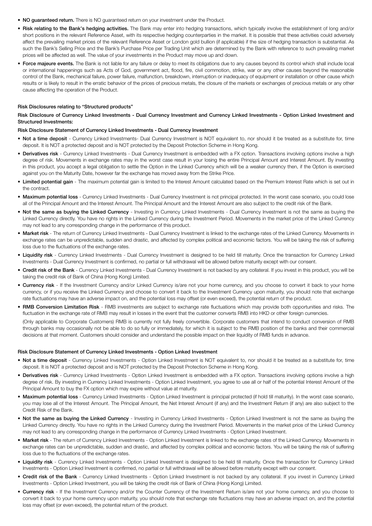- NO guaranteed return. There is NO guaranteed return on your investment under the Product.
- Risk relating to the Bank's hedging activities. The Bank may enter into hedging transactions, which typically involve the establishment of long and/or short positions in the relevant Reference Asset, with its respective hedging counterparties in the market. It is possible that these activities could adversely affect the prevailing market prices of the relevant Reference Asset or London gold bullion (if applicable) if the size of hedging transaction is substantial. As such the Bank's Selling Price and the Bank's Purchase Price per Trading Unit which are determined by the Bank with reference to such prevailing market prices will be affected as well. The value of your investments in the Product may move up and down.
- Force majeure events. The Bank is not liable for any failure or delay to meet its obligations due to any causes beyond its control which shall include local or international happenings such as Acts of God, government act, flood, fire, civil commotion, strike, war or any other causes beyond the reasonable control of the Bank, mechanical failure, power failure, malfunction, breakdown, interruption or inadequacy of equipment or installation or other cause which results or is likely to result in the erratic behavior of the prices of precious metals, the closure of the markets or exchanges of precious metals or any other cause affecting the operation of the Product.

#### Risk Disclosures relating to "Structured products"

#### Risk Disclosure of Currency Linked Investments - Dual Currency Investment and Currency Linked Investments - Option Linked Investment and Structured Investments:

#### Risk Disclosure Statement of Currency Linked Investments - Dual Currency Investment

- Not a time deposit Currency Linked Investments- Dual Currency Investment is NOT equivalent to, nor should it be treated as a substitute for, time deposit. It is NOT a protected deposit and is NOT protected by the Deposit Protection Scheme in Hong Kong.
- Derivatives risk Currency Linked Investments Dual Currency Investment is embedded with a FX option. Transactions involving options involve a high degree of risk. Movements in exchange rates may in the worst case result in your losing the entire Principal Amount and Interest Amount. By investing in this product, you accept a legal obligation to settle the Option in the Linked Currency which will be a weaker currency then, if the Option is exercised against you on the Maturity Date, however far the exchange has moved away from the Strike Price.
- Limited potential gain The maximum potential gain is limited to the Interest Amount calculated based on the Premium Interest Rate which is set out in the contract.
- Maximum potential loss Currency Linked Investments Dual Currency Investment is not principal protected. In the worst case scenario, you could lose all of the Principal Amount and the Interest Amount. The Principal Amount and the Interest Amount are also subject to the credit risk of the Bank.
- Not the same as buying the Linked Currency Investing in Currency Linked Investments Dual Currency Investment is not the same as buying the Linked Currency directly. You have no rights in the Linked Currency during the Investment Period. Movements in the market price of the Linked Currency may not lead to any corresponding change in the performance of this product.
- Market risk The return of Currency Linked Investments Dual Currency Investment is linked to the exchange rates of the Linked Currency. Movements in exchange rates can be unpredictable, sudden and drastic, and affected by complex political and economic factors. You will be taking the risk of suffering loss due to the fluctuations of the exchange rates.
- Liquidity risk Currency Linked Investments Dual Currency Investment is designed to be held till maturity. Once the transaction for Currency Linked Investments - Dual Currency Investment is confirmed, no partial or full withdrawal will be allowed before maturity except with our consent.
- Credit risk of the Bank Currency Linked Investments Dual Currency Investment is not backed by any collateral. If you invest in this product, you will be taking the credit risk of Bank of China (Hong Kong) Limited.
- Currency risk If the Investment Currency and/or Linked Currency is/are not your home currency, and you choose to convert it back to your home currency, or if you receive the Linked Currency and choose to convert it back to the Investment Currency upon maturity, you should note that exchange rate fluctuations may have an adverse impact on, and the potential loss may offset (or even exceed), the potential return of the product.
- RMB Conversion Limitation Risk RMB investments are subject to exchange rate fluctuations which may provide both opportunities and risks. The fluctuation in the exchange rate of RMB may result in losses in the event that the customer converts RMB into HKD or other foreign currencies.

(Only applicable to Corporate Customers) RMB is currently not fully freely convertible. Corporate customers that intend to conduct conversion of RMB through banks may occasionally not be able to do so fully or immediately, for which it is subject to the RMB position of the banks and their commercial decisions at that moment. Customers should consider and understand the possible impact on their liquidity of RMB funds in advance.

#### Risk Disclosure Statement of Currency Linked Investments - Option Linked Investment

- Not a time deposit Currency Linked Investments Option Linked Investment is NOT equivalent to, nor should it be treated as a substitute for, time deposit. It is NOT a protected deposit and is NOT protected by the Deposit Protection Scheme in Hong Kong.
- Derivatives risk Currency Linked Investments Option Linked Investment is embedded with a FX option. Transactions involving options involve a high degree of risk. By investing in Currency Linked Investments - Option Linked Investment, you agree to use all or half of the potential Interest Amount of the Principal Amount to buy the FX option which may expire without value at maturity.
- Maximum potential loss Currency Linked Investments Option Linked Investment is principal protected (if hold till maturity). In the worst case scenario, you may lose all of the Interest Amount. The Principal Amount, the Net Interest Amount (if any) and the Investment Return (if any) are also subject to the Credit Risk of the Bank.
- Not the same as buying the Linked Currency Investing in Currency Linked Investments Option Linked Investment is not the same as buying the Linked Currency directly. You have no rights in the Linked Currency during the Investment Period. Movements in the market price of the Linked Currency may not lead to any corresponding change in the performance of Currency Linked Investments - Option Linked Investment.
- Market risk The return of Currency Linked Investments Option Linked Investment is linked to the exchange rates of the Linked Currency. Movements in exchange rates can be unpredictable, sudden and drastic, and affected by complex political and economic factors. You will be taking the risk of suffering loss due to the fluctuations of the exchange rates.
- Liquidity risk Currency Linked Investments Option Linked Investment is designed to be held till maturity. Once the transaction for Currency Linked Investments - Option Linked Investment is confirmed, no partial or full withdrawal will be allowed before maturity except with our consent.
- Credit risk of the Bank Currency Linked Investments Option Linked Investment is not backed by any collateral. If you invest in Currency Linked Investments - Option Linked Investment, you will be taking the credit risk of Bank of China (Hong Kong) Limited.
- Currency risk If the Investment Currency and/or the Counter Currency of the Investment Return is/are not your home currency, and you choose to convert it back to your home currency upon maturity, you should note that exchange rate fluctuations may have an adverse impact on, and the potential loss may offset (or even exceed), the potential return of the product.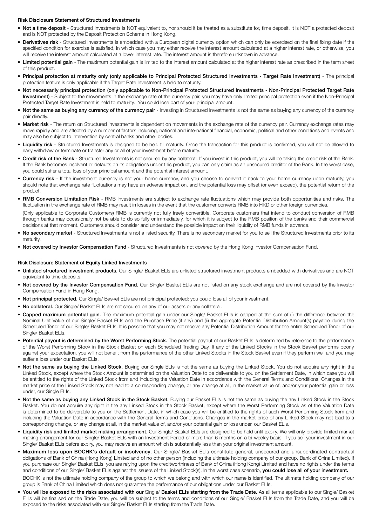#### Risk Disclosure Statement of Structured Investments

- Not a time deposit Structured Investments is NOT equivalent to, nor should it be treated as a substitute for, time deposit. It is NOT a protected deposit and is NOT protected by the Deposit Protection Scheme in Hong Kong.
- **Derivatives risk** Structured Investments is embedded with a European digital currency option which can only be exercised on the final fixing date if the specified condition for exercise is satisfied, in which case you may either receive the interest amount calculated at a higher interest rate, or otherwise, you will receive the interest amount calculated at a lower interest rate. The interest amount is therefore unknown in advance.
- Limited potential gain The maximum potential gain is limited to the interest amount calculated at the higher interest rate as prescribed in the term sheet of this product.
- Principal protection at maturity only (only applicable to Principal Protected Structured Investments Target Rate Investment) The principal protection feature is only applicable if the Target Rate Investment is held to maturity.
- Not necessarily principal protection (only applicable to Non-Principal Protected Structured Investments Non-Principal Protected Target Rate Investment) - Subject to the movements in the exchange rate of the currency pair, you may have only limited principal protection even if the Non-Principal Protected Target Rate Investment is held to maturity. You could lose part of your principal amount.
- Not the same as buying any currency of the currency pair Investing in Structured Investments is not the same as buying any currency of the currency pair directly.
- Market risk The return on Structured Investments is dependent on movements in the exchange rate of the currency pair. Currency exchange rates may move rapidly and are affected by a number of factors including, national and international financial, economic, political and other conditions and events and may also be subject to intervention by central banks and other bodies.
- Liquidity risk Structured Investments is designed to be held till maturity. Once the transaction for this product is confirmed, you will not be allowed to early withdraw or terminate or transfer any or all of your investment before maturity.
- Credit risk of the Bank Structured Investments is not secured by any collateral. If you invest in this product, you will be taking the credit risk of the Bank. If the Bank becomes insolvent or defaults on its obligations under this product, you can only claim as an unsecured creditor of the Bank. In the worst case, you could suffer a total loss of your principal amount and the potential interest amount.
- Currency risk If the investment currency is not your home currency, and you choose to convert it back to your home currency upon maturity, you should note that exchange rate fluctuations may have an adverse impact on, and the potential loss may offset (or even exceed), the potential return of the product.
- RMB Conversion Limitation Risk RMB investments are subject to exchange rate fluctuations which may provide both opportunities and risks. The fluctuation in the exchange rate of RMB may result in losses in the event that the customer converts RMB into HKD or other foreign currencies. (Only applicable to Corporate Customers) RMB is currently not fully freely convertible. Corporate customers that intend to conduct conversion of RMB through banks may occasionally not be able to do so fully or immediately, for which it is subject to the RMB position of the banks and their commercial decisions at that moment. Customers should consider and understand the possible impact on their liquidity of RMB funds in advance.
- No secondary market Structured Investments is not a listed security. There is no secondary market for you to sell the Structured Investments prior to its maturity.
- Not covered by Investor Compensation Fund Structured Investments is not covered by the Hong Kong Investor Compensation Fund.

#### Risk Disclosure Statement of Equity Linked Investments

- Unlisted structured investment products. Our Single/ Basket ELIs are unlisted structured investment products embedded with derivatives and are NOT equivalent to time deposits.
- Not covered by the Investor Compensation Fund. Our Single/ Basket ELIs are not listed on any stock exchange and are not covered by the Investor Compensation Fund in Hong Kong.
- Not principal protected. Our Single/ Basket ELIs are not principal protected: you could lose all of your investment.
- No collateral. Our Single/ Basket ELIs are not secured on any of our assets or any collateral.
- Capped maximum potential gain. The maximum potential gain under our Single/ Basket ELIs is capped at the sum of (i) the difference between the Nominal Unit Value of our Single/ Basket ELIs and the Purchase Price (if any) and (ii) the aggregate Potential Distribution Amount(s) payable during the Scheduled Tenor of our Single/ Basket ELIs. It is possible that you may not receive any Potential Distribution Amount for the entire Scheduled Tenor of our Single/ Basket FLIs.
- Potential payout is determined by the Worst Performing Stock. The potential payout of our Basket ELIs is determined by reference to the performance of the Worst Performing Stock in the Stock Basket on each Scheduled Trading Day. If any of the Linked Stocks in the Stock Basket performs poorly against your expectation, you will not benefit from the performance of the other Linked Stocks in the Stock Basket even if they perform well and you may suffer a loss under our Basket ELIs.
- Not the same as buying the Linked Stock. Buying our Single ELIs is not the same as buying the Linked Stock. You do not acquire any right in the Linked Stock, except where the Stock Amount is determined on the Valuation Date to be deliverable to you on the Settlement Date, in which case you will be entitled to the rights of the Linked Stock from and including the Valuation Date in accordance with the General Terms and Conditions. Changes in the market price of the Linked Stock may not lead to a corresponding change, or any change at all, in the market value of, and/or your potential gain or loss under, our Single ELIs.
- Not the same as buying any Linked Stock in the Stock Basket. Buying our Basket ELIs is not the same as buying the any Linked Stock in the Stock Basket. You do not acquire any right in the any Linked Stock in the Stock Basket, except where the Worst Performing Stock as of the Valuation Date is determined to be deliverable to you on the Settlement Date, in which case you will be entitled to the rights of such Worst Performing Stock from and including the Valuation Date in accordance with the General Terms and Conditions. Changes in the market price of any Linked Stock may not lead to a corresponding change, or any change at all, in the market value of, and/or your potential gain or loss under, our Basket ELIs.
- Liquidity risk and limited market making arrangement. Our Single/ Basket ELIs are designed to be held until expiry. We will only provide limited market making arrangement for our Single/ Basket ELIs with an Investment Period of more than 6 months on a bi-weekly basis. If you sell your investment in our Single/ Basket ELIs before expiry, you may receive an amount which is substantially less than your original investment amount.
- Maximum loss upon BOCHK's default or insolvency. Our Single/ Basket ELIs constitute general, unsecured and unsubordinated contractual obligations of Bank of China (Hong Kong) Limited and of no other person (including the ultimate holding company of our group, Bank of China Limited). If you purchase our Single/ Basket ELIs, you are relying upon the creditworthiness of Bank of China (Hong Kong) Limited and have no rights under the terms and conditions of our Single/ Basket ELIs against the issuers of the Linked Stock(s). In the worst case scenario, you could lose all of your investment.

BOCHK is not the ultimate holding company of the group to which we belong and with which our name is identified. The ultimate holding company of our group is Bank of China Limited which does not guarantee the performance of our obligations under our Basket ELIs.

• You will be exposed to the risks associated with our Single/ Basket ELIs starting from the Trade Date. As all terms applicable to our Single/ Basket ELIs will be finalised on the Trade Date, you will be subject to the terms and conditions of our Single/ Basket ELIs from the Trade Date, and you will be exposed to the risks associated with our Single/ Basket ELIs starting from the Trade Date.